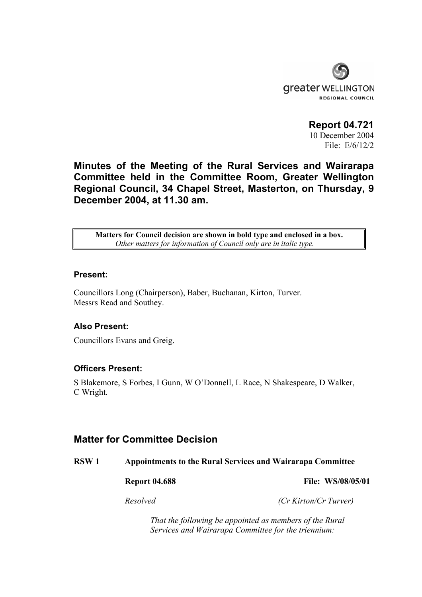

**Report 04.721**  10 December 2004 File: E/6/12/2

**Minutes of the Meeting of the Rural Services and Wairarapa Committee held in the Committee Room, Greater Wellington Regional Council, 34 Chapel Street, Masterton, on Thursday, 9 December 2004, at 11.30 am.** 

**Matters for Council decision are shown in bold type and enclosed in a box.** *Other matters for information of Council only are in italic type.*

#### **Present:**

Councillors Long (Chairperson), Baber, Buchanan, Kirton, Turver. Messrs Read and Southey.

#### **Also Present:**

Councillors Evans and Greig.

### **Officers Present:**

S Blakemore, S Forbes, I Gunn, W O'Donnell, L Race, N Shakespeare, D Walker, C Wright.

## **Matter for Committee Decision**

**RSW 1 Appointments to the Rural Services and Wairarapa Committee** 

**Report 04.688** File: WS/08/05/01

*Resolved (Cr Kirton/Cr Turver)* 

 *That the following be appointed as members of the Rural Services and Wairarapa Committee for the triennium:*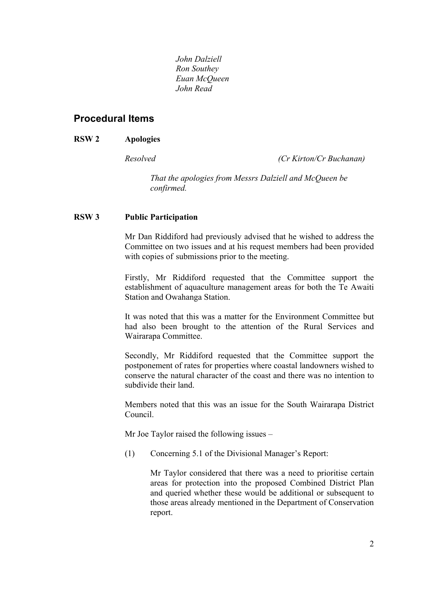*John Dalziell Ron Southey Euan McQueen John Read* 

# **Procedural Items**

### **RSW 2 Apologies**

*Resolved (Cr Kirton/Cr Buchanan)* 

 *That the apologies from Messrs Dalziell and McQueen be confirmed.* 

#### **RSW 3 Public Participation**

Mr Dan Riddiford had previously advised that he wished to address the Committee on two issues and at his request members had been provided with copies of submissions prior to the meeting.

Firstly, Mr Riddiford requested that the Committee support the establishment of aquaculture management areas for both the Te Awaiti Station and Owahanga Station.

It was noted that this was a matter for the Environment Committee but had also been brought to the attention of the Rural Services and Wairarapa Committee.

Secondly, Mr Riddiford requested that the Committee support the postponement of rates for properties where coastal landowners wished to conserve the natural character of the coast and there was no intention to subdivide their land.

Members noted that this was an issue for the South Wairarapa District Council.

Mr Joe Taylor raised the following issues –

(1) Concerning 5.1 of the Divisional Manager's Report:

 Mr Taylor considered that there was a need to prioritise certain areas for protection into the proposed Combined District Plan and queried whether these would be additional or subsequent to those areas already mentioned in the Department of Conservation report.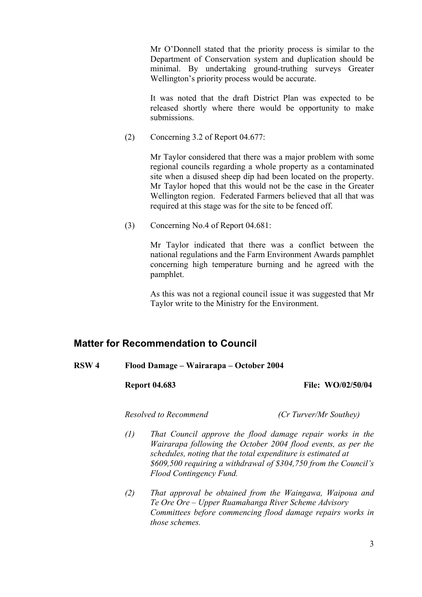Mr O'Donnell stated that the priority process is similar to the Department of Conservation system and duplication should be minimal. By undertaking ground-truthing surveys Greater Wellington's priority process would be accurate.

 It was noted that the draft District Plan was expected to be released shortly where there would be opportunity to make submissions.

(2) Concerning 3.2 of Report 04.677:

 Mr Taylor considered that there was a major problem with some regional councils regarding a whole property as a contaminated site when a disused sheep dip had been located on the property. Mr Taylor hoped that this would not be the case in the Greater Wellington region. Federated Farmers believed that all that was required at this stage was for the site to be fenced off.

(3) Concerning No.4 of Report 04.681:

 Mr Taylor indicated that there was a conflict between the national regulations and the Farm Environment Awards pamphlet concerning high temperature burning and he agreed with the pamphlet.

 As this was not a regional council issue it was suggested that Mr Taylor write to the Ministry for the Environment.

## **Matter for Recommendation to Council**

**RSW 4 Flood Damage – Wairarapa – October 2004** 

 **Report 04.683 File: WO/02/50/04** 

*Resolved to Recommend (Cr Turver/Mr Southey)* 

- *(1) That Council approve the flood damage repair works in the Wairarapa following the October 2004 flood events, as per the schedules, noting that the total expenditure is estimated at \$609,500 requiring a withdrawal of \$304,750 from the Council's Flood Contingency Fund.*
- *(2) That approval be obtained from the Waingawa, Waipoua and Te Ore Ore – Upper Ruamahanga River Scheme Advisory Committees before commencing flood damage repairs works in those schemes.*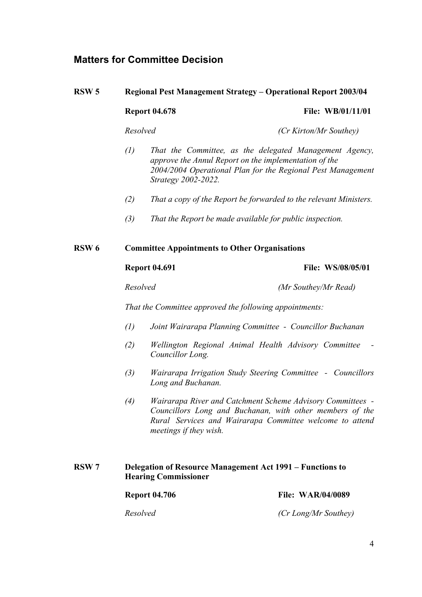# **Matters for Committee Decision**

# **RSW 5 Regional Pest Management Strategy – Operational Report 2003/04 Report 04.678 File: WB/01/11/01** *Resolved (Cr Kirton/Mr Southey)*  *(1) That the Committee, as the delegated Management Agency, approve the Annul Report on the implementation of the 2004/2004 Operational Plan for the Regional Pest Management Strategy 2002-2022. (2) That a copy of the Report be forwarded to the relevant Ministers. (3) That the Report be made available for public inspection.*  **RSW 6 Committee Appointments to Other Organisations Report 04.691** File: WS/08/05/01 *Resolved (Mr Southey/Mr Read) That the Committee approved the following appointments: (1) Joint Wairarapa Planning Committee - Councillor Buchanan (2) Wellington Regional Animal Health Advisory Committee - Councillor Long. (3) Wairarapa Irrigation Study Steering Committee - Councillors Long and Buchanan. (4) Wairarapa River and Catchment Scheme Advisory Committees - Councillors Long and Buchanan, with other members of the Rural Services and Wairarapa Committee welcome to attend meetings if they wish.*

 **RSW 7 Delegation of Resource Management Act 1991 – Functions to Hearing Commissioner** 

| <b>Report 04.706</b> | <b>File: WAR/04/0089</b> |
|----------------------|--------------------------|
| Resolved             | (Cr Long/Mr Southey)     |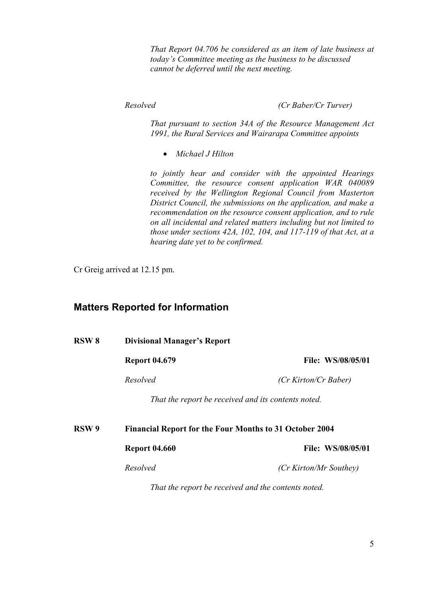*That Report 04.706 be considered as an item of late business at today's Committee meeting as the business to be discussed cannot be deferred until the next meeting.* 

 *Resolved (Cr Baber/Cr Turver)* 

 *That pursuant to section 34A of the Resource Management Act 1991, the Rural Services and Wairarapa Committee appoints* 

• *Michael J Hilton* 

 *to jointly hear and consider with the appointed Hearings Committee, the resource consent application WAR 040089 received by the Wellington Regional Council from Masterton District Council, the submissions on the application, and make a recommendation on the resource consent application, and to rule on all incidental and related matters including but not limited to those under sections 42A, 102, 104, and 117-119 of that Act, at a hearing date yet to be confirmed.* 

Cr Greig arrived at 12.15 pm.

## **Matters Reported for Information**

| <b>RSW 8</b>     | <b>Divisional Manager's Report</b>                  |                                                                |  |
|------------------|-----------------------------------------------------|----------------------------------------------------------------|--|
|                  | <b>Report 04.679</b>                                | <b>File: WS/08/05/01</b>                                       |  |
|                  | Resolved                                            | (Cr Kirton/Cr Baber)                                           |  |
|                  | That the report be received and its contents noted. |                                                                |  |
| RSW <sub>9</sub> |                                                     | <b>Financial Report for the Four Months to 31 October 2004</b> |  |
|                  | <b>Report 04.660</b>                                | File: WS/08/05/01                                              |  |
|                  | Resolved                                            | (Cr Kirton/Mr Southey)                                         |  |
|                  | That the report be received and the contents noted. |                                                                |  |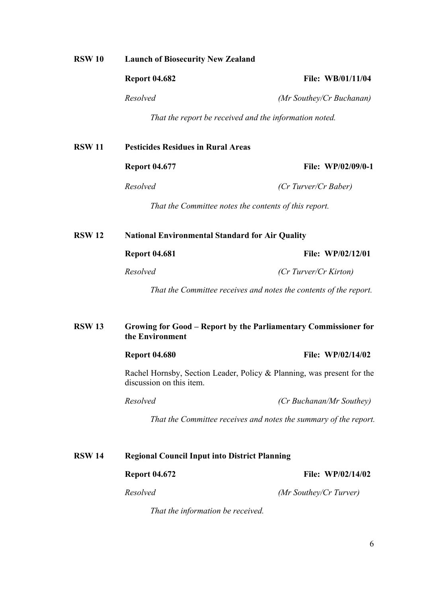#### **RSW 10 Launch of Biosecurity New Zealand**

 **Report 04.682 File: WB/01/11/04** 

*Resolved (Mr Southey/Cr Buchanan)* 

 *That the report be received and the information noted.* 

# **RSW 11 Pesticides Residues in Rural Areas**

 **Report 04.677 File: WP/02/09/0-1** 

*Resolved (Cr Turver/Cr Baber)* 

 *That the Committee notes the contents of this report.* 

 **RSW 12 National Environmental Standard for Air Quality** 

#### **Report 04.681** File: WP/02/12/01

*Resolved (Cr Turver/Cr Kirton)* 

 *That the Committee receives and notes the contents of the report.* 

#### **RSW 13 Growing for Good – Report by the Parliamentary Commissioner for the Environment**

**Report 04.680** File: WP/02/14/02

Rachel Hornsby, Section Leader, Policy & Planning, was present for the discussion on this item.

*Resolved (Cr Buchanan/Mr Southey)*

 *That the Committee receives and notes the summary of the report.* 

# **RSW 14 Regional Council Input into District Planning Report 04.672** File: WP/02/14/02

 *That the information be received.* 

*Resolved (Mr Southey/Cr Turver)*